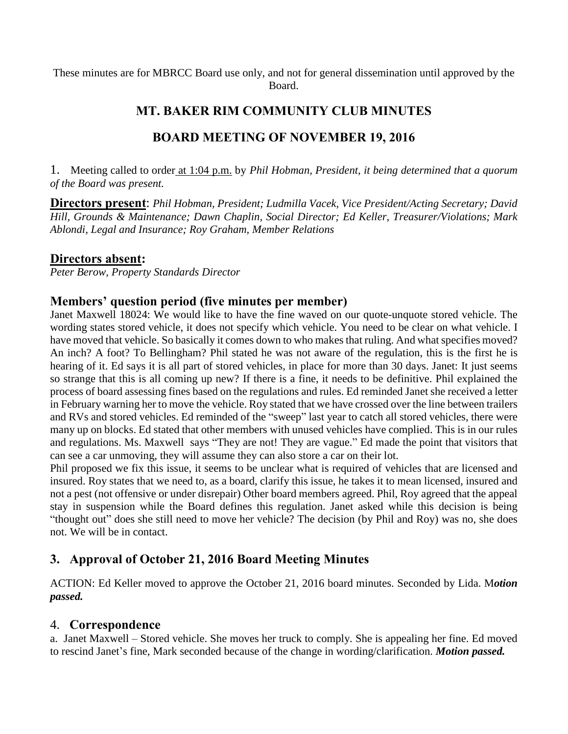These minutes are for MBRCC Board use only, and not for general dissemination until approved by the Board.

# **MT. BAKER RIM COMMUNITY CLUB MINUTES**

# **BOARD MEETING OF NOVEMBER 19, 2016**

1. Meeting called to order at 1:04 p.m. by *Phil Hobman, President, it being determined that a quorum of the Board was present.*

**Directors present**: *Phil Hobman, President; Ludmilla Vacek, Vice President/Acting Secretary; David Hill, Grounds & Maintenance; Dawn Chaplin, Social Director; Ed Keller, Treasurer/Violations; Mark Ablondi, Legal and Insurance; Roy Graham, Member Relations*

## **Directors absent:**

*Peter Berow, Property Standards Director*

## **Members' question period (five minutes per member)**

Janet Maxwell 18024: We would like to have the fine waved on our quote-unquote stored vehicle. The wording states stored vehicle, it does not specify which vehicle. You need to be clear on what vehicle. I have moved that vehicle. So basically it comes down to who makes that ruling. And what specifies moved? An inch? A foot? To Bellingham? Phil stated he was not aware of the regulation, this is the first he is hearing of it. Ed says it is all part of stored vehicles, in place for more than 30 days. Janet: It just seems so strange that this is all coming up new? If there is a fine, it needs to be definitive. Phil explained the process of board assessing fines based on the regulations and rules. Ed reminded Janet she received a letter in February warning her to move the vehicle. Roy stated that we have crossed over the line between trailers and RVs and stored vehicles. Ed reminded of the "sweep" last year to catch all stored vehicles, there were many up on blocks. Ed stated that other members with unused vehicles have complied. This is in our rules and regulations. Ms. Maxwell says "They are not! They are vague." Ed made the point that visitors that can see a car unmoving, they will assume they can also store a car on their lot.

Phil proposed we fix this issue, it seems to be unclear what is required of vehicles that are licensed and insured. Roy states that we need to, as a board, clarify this issue, he takes it to mean licensed, insured and not a pest (not offensive or under disrepair) Other board members agreed. Phil, Roy agreed that the appeal stay in suspension while the Board defines this regulation. Janet asked while this decision is being "thought out" does she still need to move her vehicle? The decision (by Phil and Roy) was no, she does not. We will be in contact.

# **3. Approval of October 21, 2016 Board Meeting Minutes**

ACTION: Ed Keller moved to approve the October 21, 2016 board minutes. Seconded by Lida. M*otion passed.*

## 4. **Correspondence**

a. Janet Maxwell – Stored vehicle. She moves her truck to comply. She is appealing her fine. Ed moved to rescind Janet's fine, Mark seconded because of the change in wording/clarification. *Motion passed.*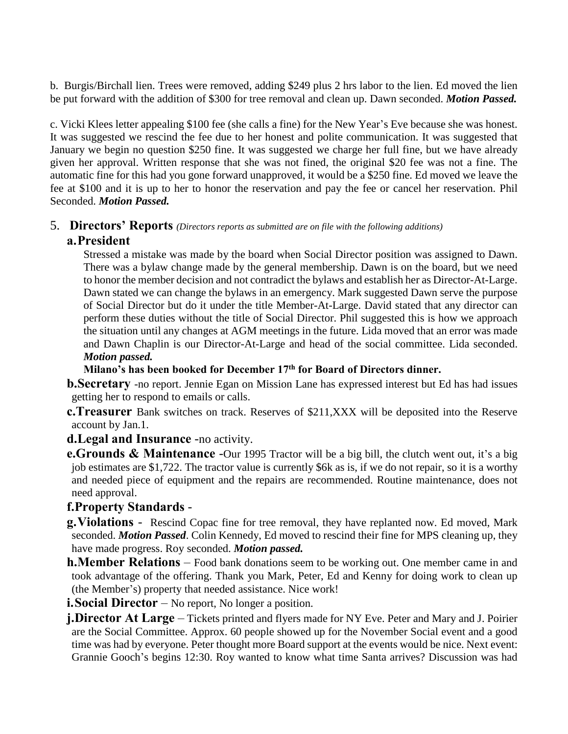b. Burgis/Birchall lien. Trees were removed, adding \$249 plus 2 hrs labor to the lien. Ed moved the lien be put forward with the addition of \$300 for tree removal and clean up. Dawn seconded. *Motion Passed.*

c. Vicki Klees letter appealing \$100 fee (she calls a fine) for the New Year's Eve because she was honest. It was suggested we rescind the fee due to her honest and polite communication. It was suggested that January we begin no question \$250 fine. It was suggested we charge her full fine, but we have already given her approval. Written response that she was not fined, the original \$20 fee was not a fine. The automatic fine for this had you gone forward unapproved, it would be a \$250 fine. Ed moved we leave the fee at \$100 and it is up to her to honor the reservation and pay the fee or cancel her reservation. Phil Seconded. *Motion Passed.*

# 5. **Directors' Reports** *(Directors reports as submitted are on file with the following additions)*

## **a.President**

Stressed a mistake was made by the board when Social Director position was assigned to Dawn. There was a bylaw change made by the general membership. Dawn is on the board, but we need to honor the member decision and not contradict the bylaws and establish her as Director-At-Large. Dawn stated we can change the bylaws in an emergency. Mark suggested Dawn serve the purpose of Social Director but do it under the title Member-At-Large. David stated that any director can perform these duties without the title of Social Director. Phil suggested this is how we approach the situation until any changes at AGM meetings in the future. Lida moved that an error was made and Dawn Chaplin is our Director-At-Large and head of the social committee. Lida seconded. *Motion passed.*

**Milano's has been booked for December 17th for Board of Directors dinner.**

**b.Secretary** -no report. Jennie Egan on Mission Lane has expressed interest but Ed has had issues getting her to respond to emails or calls.

**c.Treasurer** Bank switches on track. Reserves of \$211,XXX will be deposited into the Reserve account by Jan.1.

**d.Legal and Insurance** -no activity.

**e.Grounds & Maintenance** -Our 1995 Tractor will be a big bill, the clutch went out, it's a big job estimates are \$1,722. The tractor value is currently \$6k as is, if we do not repair, so it is a worthy and needed piece of equipment and the repairs are recommended. Routine maintenance, does not need approval.

## **f.Property Standards** -

**g.Violations** - Rescind Copac fine for tree removal, they have replanted now. Ed moved, Mark seconded. *Motion Passed*. Colin Kennedy, Ed moved to rescind their fine for MPS cleaning up, they have made progress. Roy seconded. *Motion passed.*

**h.Member Relations** – Food bank donations seem to be working out. One member came in and took advantage of the offering. Thank you Mark, Peter, Ed and Kenny for doing work to clean up (the Member's) property that needed assistance. Nice work!

**i.Social Director** – No report, No longer a position.

**j.Director At Large** – Tickets printed and flyers made for NY Eve. Peter and Mary and J. Poirier are the Social Committee. Approx. 60 people showed up for the November Social event and a good time was had by everyone. Peter thought more Board support at the events would be nice. Next event: Grannie Gooch's begins 12:30. Roy wanted to know what time Santa arrives? Discussion was had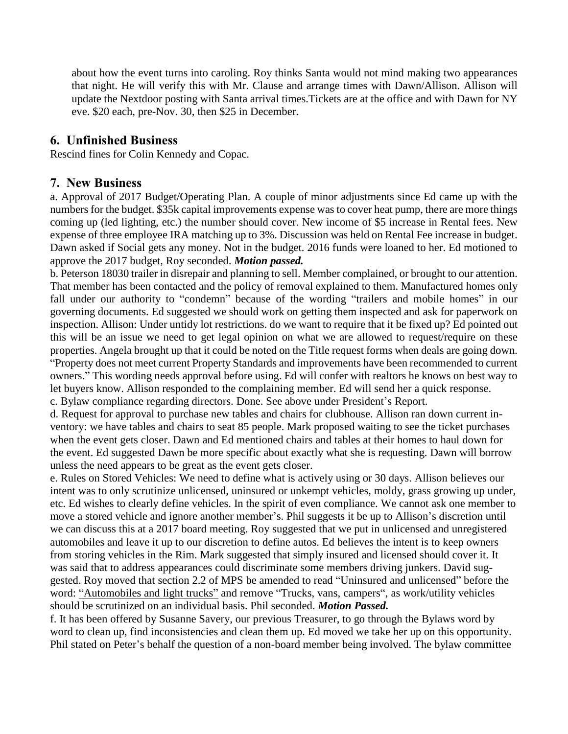about how the event turns into caroling. Roy thinks Santa would not mind making two appearances that night. He will verify this with Mr. Clause and arrange times with Dawn/Allison. Allison will update the Nextdoor posting with Santa arrival times.Tickets are at the office and with Dawn for NY eve. \$20 each, pre-Nov. 30, then \$25 in December.

### **6. Unfinished Business**

Rescind fines for Colin Kennedy and Copac.

#### **7. New Business**

a. Approval of 2017 Budget/Operating Plan. A couple of minor adjustments since Ed came up with the numbers for the budget. \$35k capital improvements expense was to cover heat pump, there are more things coming up (led lighting, etc.) the number should cover. New income of \$5 increase in Rental fees. New expense of three employee IRA matching up to 3%. Discussion was held on Rental Fee increase in budget. Dawn asked if Social gets any money. Not in the budget. 2016 funds were loaned to her. Ed motioned to approve the 2017 budget, Roy seconded. *Motion passed.*

b. Peterson 18030 trailer in disrepair and planning to sell. Member complained, or brought to our attention. That member has been contacted and the policy of removal explained to them. Manufactured homes only fall under our authority to "condemn" because of the wording "trailers and mobile homes" in our governing documents. Ed suggested we should work on getting them inspected and ask for paperwork on inspection. Allison: Under untidy lot restrictions. do we want to require that it be fixed up? Ed pointed out this will be an issue we need to get legal opinion on what we are allowed to request/require on these properties. Angela brought up that it could be noted on the Title request forms when deals are going down. "Property does not meet current Property Standards and improvements have been recommended to current owners." This wording needs approval before using. Ed will confer with realtors he knows on best way to let buyers know. Allison responded to the complaining member. Ed will send her a quick response.

c. Bylaw compliance regarding directors. Done. See above under President's Report.

d. Request for approval to purchase new tables and chairs for clubhouse. Allison ran down current inventory: we have tables and chairs to seat 85 people. Mark proposed waiting to see the ticket purchases when the event gets closer. Dawn and Ed mentioned chairs and tables at their homes to haul down for the event. Ed suggested Dawn be more specific about exactly what she is requesting. Dawn will borrow unless the need appears to be great as the event gets closer.

e. Rules on Stored Vehicles: We need to define what is actively using or 30 days. Allison believes our intent was to only scrutinize unlicensed, uninsured or unkempt vehicles, moldy, grass growing up under, etc. Ed wishes to clearly define vehicles. In the spirit of even compliance. We cannot ask one member to move a stored vehicle and ignore another member's. Phil suggests it be up to Allison's discretion until we can discuss this at a 2017 board meeting. Roy suggested that we put in unlicensed and unregistered automobiles and leave it up to our discretion to define autos. Ed believes the intent is to keep owners from storing vehicles in the Rim. Mark suggested that simply insured and licensed should cover it. It was said that to address appearances could discriminate some members driving junkers. David suggested. Roy moved that section 2.2 of MPS be amended to read "Uninsured and unlicensed" before the word: "Automobiles and light trucks" and remove "Trucks, vans, campers", as work/utility vehicles should be scrutinized on an individual basis. Phil seconded. *Motion Passed.*

f. It has been offered by Susanne Savery, our previous Treasurer, to go through the Bylaws word by word to clean up, find inconsistencies and clean them up. Ed moved we take her up on this opportunity. Phil stated on Peter's behalf the question of a non-board member being involved. The bylaw committee